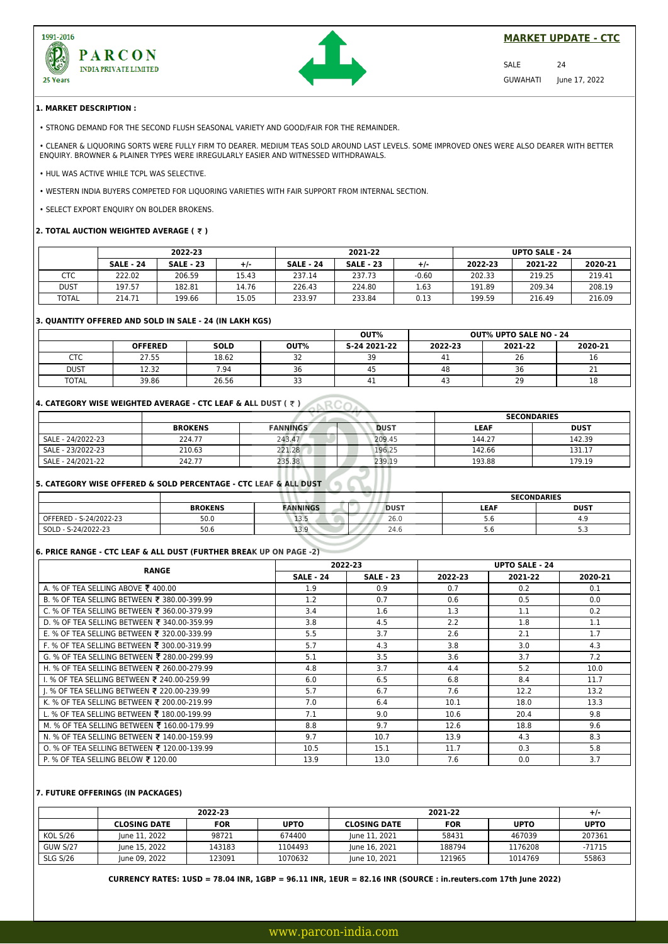



# **MARKET UPDATE - CTC**

SALE 24 GUWAHATI June 17, 2022

#### **1. MARKET DESCRIPTION :**

• STRONG DEMAND FOR THE SECOND FLUSH SEASONAL VARIETY AND GOOD/FAIR FOR THE REMAINDER.

• CLEANER & LIQUORING SORTS WERE FULLY FIRM TO DEARER. MEDIUM TEAS SOLD AROUND LAST LEVELS. SOME IMPROVED ONES WERE ALSO DEARER WITH BETTER ENQUIRY. BROWNER & PLAINER TYPES WERE IRREGULARLY EASIER AND WITNESSED WITHDRAWALS.

• HUL WAS ACTIVE WHILE TCPL WAS SELECTIVE.

• WESTERN INDIA BUYERS COMPETED FOR LIQUORING VARIETIES WITH FAIR SUPPORT FROM INTERNAL SECTION.

• SELECT EXPORT ENQUIRY ON BOLDER BROKENS.

## **2. TOTAL AUCTION WEIGHTED AVERAGE ( ₹ )**

|              |                  | 2022-23          |       | 2021-22          |                  | <b>UPTO SALE - 24</b> |         |         |         |
|--------------|------------------|------------------|-------|------------------|------------------|-----------------------|---------|---------|---------|
|              | <b>SALE - 24</b> | <b>SALE - 23</b> | $+/-$ | <b>SALE - 24</b> | <b>SALE - 23</b> | $+/-$                 | 2022-23 | 2021-22 | 2020-21 |
| CTC          | 222.02           | 206.59           | 15.43 | 237.14           | 237.73           | $-0.60$               | 202.33  | 219.25  | 219.41  |
| <b>DUST</b>  | 197.57           | 182.81           | 14.76 | 226.43           | 224.80           | 1.63                  | 191.89  | 209.34  | 208.19  |
| <b>TOTAL</b> | 214.71           | 199.66           | 15.05 | 233.97           | 233.84           | 0.13                  | 199.59  | 216.49  | 216.09  |

#### **3. QUANTITY OFFERED AND SOLD IN SALE - 24 (IN LAKH KGS)**

|              |                |             |              | OUT%         |         | <b>OUT% UPTO SALE NO - 24</b> |         |
|--------------|----------------|-------------|--------------|--------------|---------|-------------------------------|---------|
|              | <b>OFFERED</b> | <b>SOLD</b> | OUT%         | S-24 2021-22 | 2022-23 | 2021-22                       | 2020-21 |
| стс          | 27.55          | 18.62       | $\sim$<br>ےر | 39           | 4⊥      | 26                            | 16      |
| <b>DUST</b>  | 12.32          | 7.94        | 36           | 45           | 48      | 36                            | ᅩ       |
| <b>TOTAL</b> | 39.86          | 26.56       | $\sim$       | 41           |         | 29                            | 18      |

# **4. CATEGORY WISE WEIGHTED AVERAGE - CTC LEAF & ALL DUST (**  $\bar{\tau}$  **) ARCOAN**

|                   |                |                 |             |             | <b>SECONDARIES</b> |
|-------------------|----------------|-----------------|-------------|-------------|--------------------|
|                   | <b>BROKENS</b> | <b>FANNINGS</b> | <b>DUST</b> | <b>LEAF</b> | <b>DUST</b>        |
| SALE - 24/2022-23 | 224.77         | 243.47          | 209.45      | 144.27      | 142.39             |
| SALE - 23/2022-23 | 210.63         | 221.28          | 196.25      | 142.66      | 131.17             |
| SALE - 24/2021-22 | 242.77         | 235.38          | 239.19      | 193.88      | 179.19             |

# **5. CATEGORY WISE OFFERED & SOLD PERCENTAGE - CTC LEAF & ALL DUST**

|                        |                |                 |             | <b>SECONDARIES</b> |             |
|------------------------|----------------|-----------------|-------------|--------------------|-------------|
|                        | <b>BROKENS</b> | <b>FANNINGS</b> | <b>DUST</b> | LEAF               | <b>DUST</b> |
| OFFERED - S-24/2022-23 | 50.0           | 13.3            | 26.0        | D.O                | 4.9         |
| SOLD - S-24/2022-23    | 50.6           | 13.9            | 24.0        | D.O                | <u>.</u>    |

# **6. PRICE RANGE - CTC LEAF & ALL DUST (FURTHER BREAK UP ON PAGE -2)**

| <b>RANGE</b>                                |                  | 2022-23          |         | <b>UPTO SALE - 24</b> |         |
|---------------------------------------------|------------------|------------------|---------|-----------------------|---------|
|                                             | <b>SALE - 24</b> | <b>SALE - 23</b> | 2022-23 | 2021-22               | 2020-21 |
| A. % OF TEA SELLING ABOVE ₹ 400.00          | 1.9              | 0.9              | 0.7     | 0.2                   | 0.1     |
| B. % OF TEA SELLING BETWEEN ₹ 380.00-399.99 | 1.2              | 0.7              | 0.6     | 0.5                   | 0.0     |
| C. % OF TEA SELLING BETWEEN ₹ 360.00-379.99 | 3.4              | 1.6              | 1.3     | 1.1                   | 0.2     |
| D. % OF TEA SELLING BETWEEN ₹ 340.00-359.99 | 3.8              | 4.5              | 2.2     | 1.8                   | 1.1     |
| E. % OF TEA SELLING BETWEEN ₹ 320.00-339.99 | 5.5              | 3.7              | 2.6     | 2.1                   | 1.7     |
| F. % OF TEA SELLING BETWEEN ₹ 300.00-319.99 | 5.7              | 4.3              | 3.8     | 3.0                   | 4.3     |
| G. % OF TEA SELLING BETWEEN ₹ 280.00-299.99 | 5.1              | 3.5              | 3.6     | 3.7                   | 7.2     |
| H. % OF TEA SELLING BETWEEN ₹ 260.00-279.99 | 4.8              | 3.7              | 4.4     | 5.2                   | 10.0    |
| I. % OF TEA SELLING BETWEEN ₹ 240.00-259.99 | 6.0              | 6.5              | 6.8     | 8.4                   | 11.7    |
| I. % OF TEA SELLING BETWEEN ₹ 220.00-239.99 | 5.7              | 6.7              | 7.6     | 12.2                  | 13.2    |
| K. % OF TEA SELLING BETWEEN ₹ 200.00-219.99 | 7.0              | 6.4              | 10.1    | 18.0                  | 13.3    |
| L. % OF TEA SELLING BETWEEN ₹ 180.00-199.99 | 7.1              | 9.0              | 10.6    | 20.4                  | 9.8     |
| M. % OF TEA SELLING BETWEEN ₹ 160.00-179.99 | 8.8              | 9.7              | 12.6    | 18.8                  | 9.6     |
| N. % OF TEA SELLING BETWEEN ₹ 140.00-159.99 | 9.7              | 10.7             | 13.9    | 4.3                   | 8.3     |
| O. % OF TEA SELLING BETWEEN ₹ 120.00-139.99 | 10.5             | 15.1             | 11.7    | 0.3                   | 5.8     |
| P. % OF TEA SELLING BELOW ₹ 120.00          | 13.9             | 13.0             | 7.6     | 0.0                   | 3.7     |

### **7. FUTURE OFFERINGS (IN PACKAGES)**

|                 | 2022-23             |            |             |                     |            | $+/-$       |             |
|-----------------|---------------------|------------|-------------|---------------------|------------|-------------|-------------|
|                 | <b>CLOSING DATE</b> | <b>FOR</b> | <b>UPTO</b> | <b>CLOSING DATE</b> | <b>FOR</b> | <b>UPTO</b> | <b>UPTO</b> |
| <b>KOL S/26</b> | lune 11, 2022       | 98721      | 674400      | June 11, 2021       | 58431      | 467039      | 207361      |
| <b>GUW S/27</b> | June 15, 2022       | 143183     | 1104493     | June 16, 2021       | 188794     | 1176208     | $-71715$    |
| <b>SLG S/26</b> | June 09, 2022       | 123091     | 1070632     | June 10, 2021       | 121965     | 1014769     | 55863       |

**CURRENCY RATES: 1USD = 78.04 INR, 1GBP = 96.11 INR, 1EUR = 82.16 INR (SOURCE : in.reuters.com 17th June 2022)**